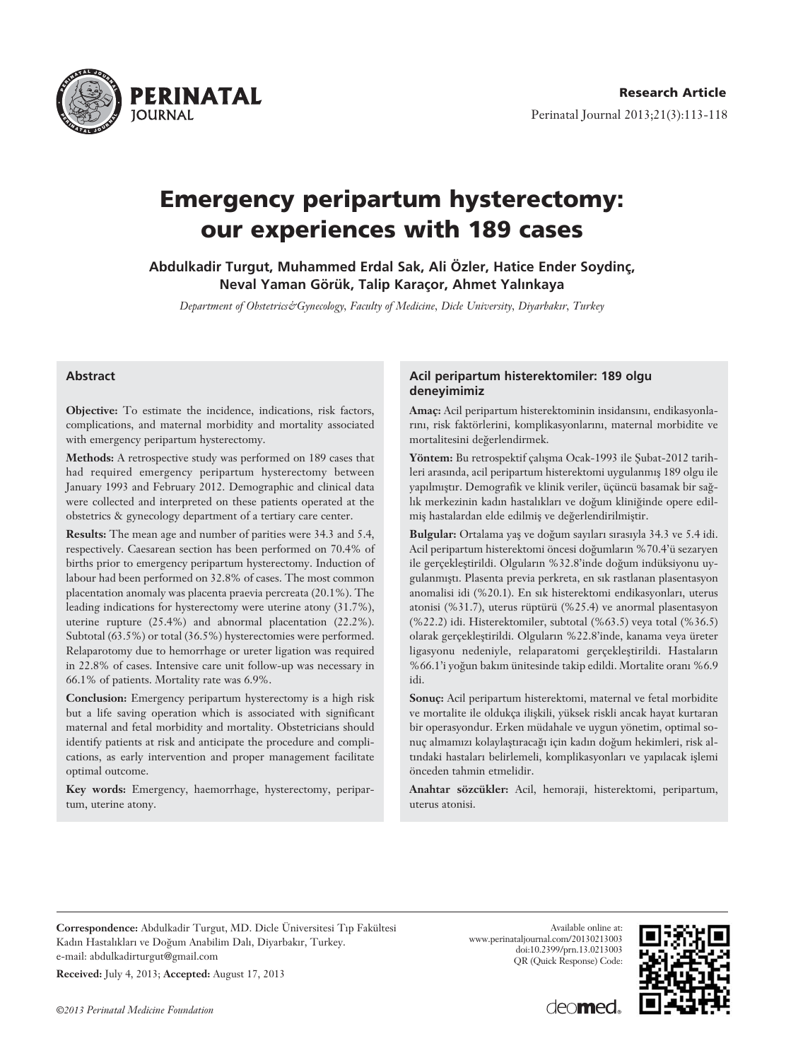

# **Emergency peripartum hysterectomy: our experiences with 189 cases**

**Abdulkadir Turgut, Muhammed Erdal Sak, Ali Özler, Hatice Ender Soydinç, Neval Yaman Görük, Talip Karaçor, Ahmet Yal›nkaya** 

*Department of Obstetrics&Gynecology, Faculty of Medicine, Dicle University, Diyarbak›r, Turkey*

#### **Abstract**

**Objective:** To estimate the incidence, indications, risk factors, complications, and maternal morbidity and mortality associated with emergency peripartum hysterectomy.

**Methods:** A retrospective study was performed on 189 cases that had required emergency peripartum hysterectomy between January 1993 and February 2012. Demographic and clinical data were collected and interpreted on these patients operated at the obstetrics & gynecology department of a tertiary care center.

**Results:** The mean age and number of parities were 34.3 and 5.4, respectively. Caesarean section has been performed on 70.4% of births prior to emergency peripartum hysterectomy. Induction of labour had been performed on 32.8% of cases. The most common placentation anomaly was placenta praevia percreata (20.1%). The leading indications for hysterectomy were uterine atony (31.7%), uterine rupture (25.4%) and abnormal placentation (22.2%). Subtotal (63.5%) or total (36.5%) hysterectomies were performed. Relaparotomy due to hemorrhage or ureter ligation was required in 22.8% of cases. Intensive care unit follow-up was necessary in 66.1% of patients. Mortality rate was 6.9%.

**Conclusion:** Emergency peripartum hysterectomy is a high risk but a life saving operation which is associated with significant maternal and fetal morbidity and mortality. Obstetricians should identify patients at risk and anticipate the procedure and complications, as early intervention and proper management facilitate optimal outcome.

**Key words:** Emergency, haemorrhage, hysterectomy, peripartum, uterine atony.

#### **Acil peripartum histerektomiler: 189 olgu deneyimimiz**

Amaç: Acil peripartum histerektominin insidansını, endikasyonlarını, risk faktörlerini, komplikasyonlarını, maternal morbidite ve mortalitesini değerlendirmek.

Yöntem: Bu retrospektif çalışma Ocak-1993 ile Şubat-2012 tarihleri arasında, acil peripartum histerektomi uygulanmış 189 olgu ile yapılmıştır. Demografik ve klinik veriler, üçüncü basamak bir sağlık merkezinin kadın hastalıkları ve doğum kliniğinde opere edilmiş hastalardan elde edilmiş ve değerlendirilmiştir.

Bulgular: Ortalama yaş ve doğum sayıları sırasıyla 34.3 ve 5.4 idi. Acil peripartum histerektomi öncesi doğumların %70.4'ü sezaryen ile gerçekleştirildi. Olguların %32.8'inde doğum indüksiyonu uygulanmıştı. Plasenta previa perkreta, en sık rastlanan plasentasyon anomalisi idi (%20.1). En sık histerektomi endikasyonları, uterus atonisi (%31.7), uterus rüptürü (%25.4) ve anormal plasentasyon (%22.2) idi. Histerektomiler, subtotal (%63.5) veya total (%36.5) olarak gerçekleştirildi. Olguların %22.8'inde, kanama veya üreter ligasyonu nedeniyle, relaparatomi gerçekleştirildi. Hastaların %66.1'i yoğun bakım ünitesinde takip edildi. Mortalite oranı %6.9 idi.

**Sonuç:** Acil peripartum histerektomi, maternal ve fetal morbidite ve mortalite ile oldukça ilişkili, yüksek riskli ancak hayat kurtaran bir operasyondur. Erken müdahale ve uygun yönetim, optimal sonuç almamızı kolaylaştıracağı için kadın doğum hekimleri, risk altındaki hastaları belirlemeli, komplikasyonları ve yapılacak işlemi önceden tahmin etmelidir.

**Anahtar sözcükler:** Acil, hemoraji, histerektomi, peripartum, uterus atonisi.

**Correspondence:** Abdulkadir Turgut, MD. Dicle Üniversitesi T›p Fakültesi Kadın Hastalıkları ve Doğum Anabilim Dalı, Diyarbakır, Turkey. e-mail: abdulkadirturgut@gmail.com

**Received:** July 4, 2013; **Accepted:** August 17, 2013

Available online at: www.perinataljournal.com/20130213003 doi:10.2399/prn.13.0213003 QR (Quick Response) Code:



deo**med**.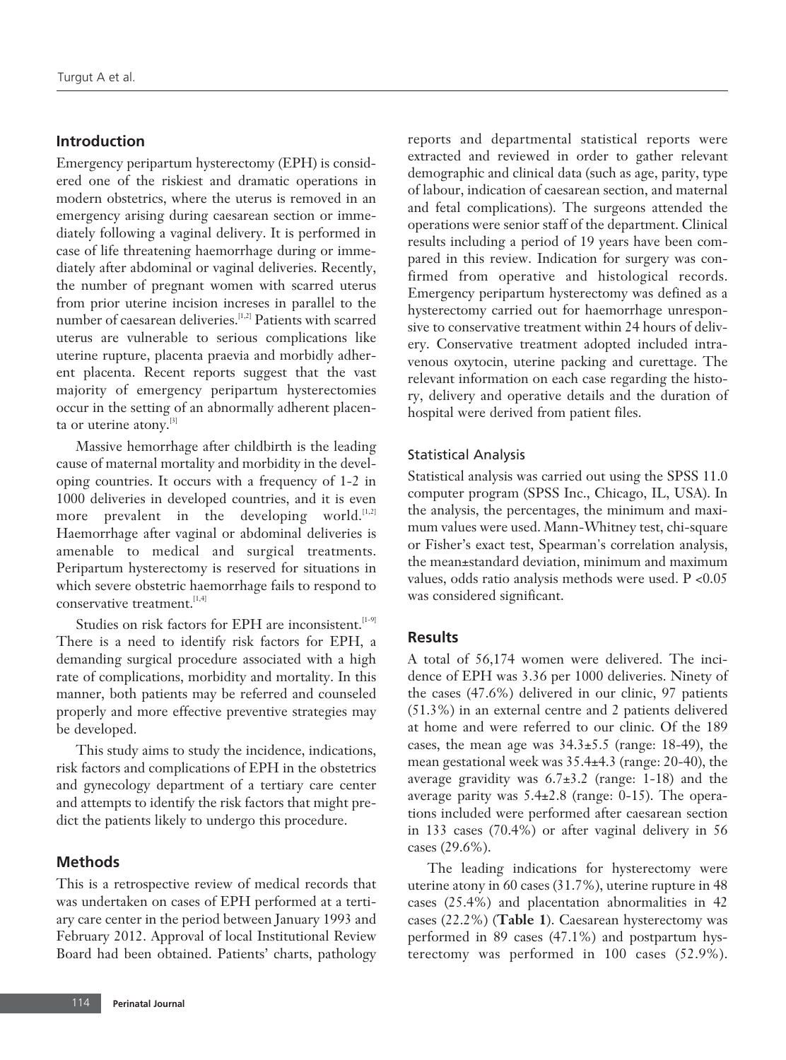## **Introduction**

Emergency peripartum hysterectomy (EPH) is considered one of the riskiest and dramatic operations in modern obstetrics, where the uterus is removed in an emergency arising during caesarean section or immediately following a vaginal delivery. It is performed in case of life threatening haemorrhage during or immediately after abdominal or vaginal deliveries. Recently, the number of pregnant women with scarred uterus from prior uterine incision increses in parallel to the number of caesarean deliveries.[1,2] Patients with scarred uterus are vulnerable to serious complications like uterine rupture, placenta praevia and morbidly adherent placenta. Recent reports suggest that the vast majority of emergency peripartum hysterectomies occur in the setting of an abnormally adherent placenta or uterine atony.<sup>[3]</sup>

Massive hemorrhage after childbirth is the leading cause of maternal mortality and morbidity in the developing countries. It occurs with a frequency of 1-2 in 1000 deliveries in developed countries, and it is even more prevalent in the developing world. $[1,2]$ Haemorrhage after vaginal or abdominal deliveries is amenable to medical and surgical treatments. Peripartum hysterectomy is reserved for situations in which severe obstetric haemorrhage fails to respond to conservative treatment.<sup>[1,4]</sup>

Studies on risk factors for EPH are inconsistent.<sup>[1-9]</sup> There is a need to identify risk factors for EPH, a demanding surgical procedure associated with a high rate of complications, morbidity and mortality. In this manner, both patients may be referred and counseled properly and more effective preventive strategies may be developed.

This study aims to study the incidence, indications, risk factors and complications of EPH in the obstetrics and gynecology department of a tertiary care center and attempts to identify the risk factors that might predict the patients likely to undergo this procedure.

## **Methods**

This is a retrospective review of medical records that was undertaken on cases of EPH performed at a tertiary care center in the period between January 1993 and February 2012. Approval of local Institutional Review Board had been obtained. Patients' charts, pathology

reports and departmental statistical reports were extracted and reviewed in order to gather relevant demographic and clinical data (such as age, parity, type of labour, indication of caesarean section, and maternal and fetal complications). The surgeons attended the operations were senior staff of the department. Clinical results including a period of 19 years have been compared in this review. Indication for surgery was confirmed from operative and histological records. Emergency peripartum hysterectomy was defined as a hysterectomy carried out for haemorrhage unresponsive to conservative treatment within 24 hours of delivery. Conservative treatment adopted included intravenous oxytocin, uterine packing and curettage. The relevant information on each case regarding the history, delivery and operative details and the duration of hospital were derived from patient files.

#### Statistical Analysis

Statistical analysis was carried out using the SPSS 11.0 computer program (SPSS Inc., Chicago, IL, USA). In the analysis, the percentages, the minimum and maximum values were used. Mann-Whitney test, chi-square or Fisher's exact test, Spearman's correlation analysis, the mean±standard deviation, minimum and maximum values, odds ratio analysis methods were used. P <0.05 was considered significant.

### **Results**

A total of 56,174 women were delivered. The incidence of EPH was 3.36 per 1000 deliveries. Ninety of the cases (47.6%) delivered in our clinic, 97 patients (51.3%) in an external centre and 2 patients delivered at home and were referred to our clinic. Of the 189 cases, the mean age was  $34.3 \pm 5.5$  (range: 18-49), the mean gestational week was 35.4±4.3 (range: 20-40), the average gravidity was  $6.7\pm3.2$  (range: 1-18) and the average parity was 5.4±2.8 (range: 0-15). The operations included were performed after caesarean section in 133 cases (70.4%) or after vaginal delivery in 56 cases (29.6%).

The leading indications for hysterectomy were uterine atony in 60 cases (31.7%), uterine rupture in 48 cases (25.4%) and placentation abnormalities in 42 cases (22.2%) (**Table 1**). Caesarean hysterectomy was performed in 89 cases (47.1%) and postpartum hysterectomy was performed in 100 cases (52.9%).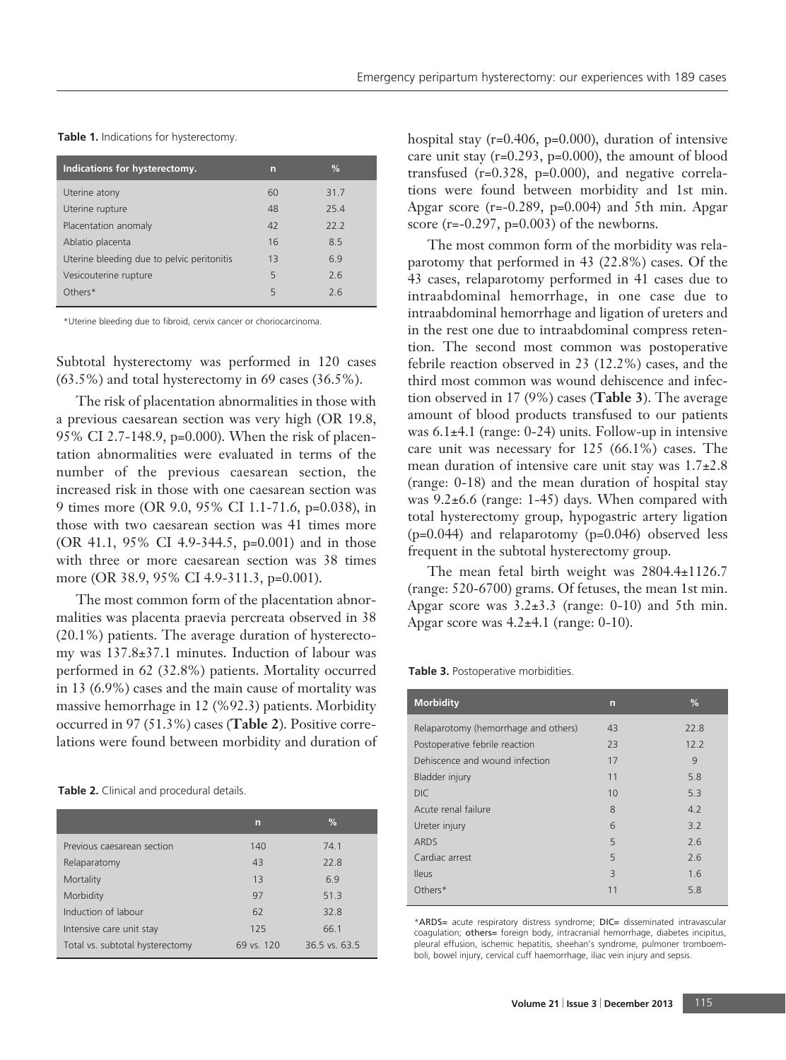**Table 1.** Indications for hysterectomy.

| Indications for hysterectomy.              | n  | %    |  |
|--------------------------------------------|----|------|--|
| Uterine atony                              | 60 | 31.7 |  |
| Uterine rupture                            | 48 | 25.4 |  |
| Placentation anomaly                       | 42 | 22.2 |  |
| Ablatio placenta                           | 16 | 8.5  |  |
| Uterine bleeding due to pelvic peritonitis | 13 | 6.9  |  |
| Vesicouterine rupture                      | 5  | 2.6  |  |
| Others*                                    | 5  | 26   |  |
|                                            |    |      |  |

\*Uterine bleeding due to fibroid, cervix cancer or choriocarcinoma.

Subtotal hysterectomy was performed in 120 cases (63.5%) and total hysterectomy in 69 cases (36.5%).

The risk of placentation abnormalities in those with a previous caesarean section was very high (OR 19.8, 95% CI 2.7-148.9, p=0.000). When the risk of placentation abnormalities were evaluated in terms of the number of the previous caesarean section, the increased risk in those with one caesarean section was 9 times more (OR 9.0, 95% CI 1.1-71.6, p=0.038), in those with two caesarean section was 41 times more (OR 41.1, 95% CI 4.9-344.5, p=0.001) and in those with three or more caesarean section was 38 times more (OR 38.9, 95% CI 4.9-311.3, p=0.001).

The most common form of the placentation abnormalities was placenta praevia percreata observed in 38 (20.1%) patients. The average duration of hysterectomy was 137.8±37.1 minutes. Induction of labour was performed in 62 (32.8%) patients. Mortality occurred in 13 (6.9%) cases and the main cause of mortality was massive hemorrhage in 12 (%92.3) patients. Morbidity occurred in 97 (51.3%) cases (**Table 2**). Positive correlations were found between morbidity and duration of

**Table 2.** Clinical and procedural details.

|                                 | n          | %               |
|---------------------------------|------------|-----------------|
| Previous caesarean section      | 140        | 74.1            |
| Relaparatomy                    | 43         | 22.8            |
| Mortality                       | 13         | 6.9             |
| Morbidity                       | 97         | 51.3            |
| Induction of labour             | 62         | 32.8            |
| Intensive care unit stay        | 125        | 66.1            |
| Total vs. subtotal hysterectomy | 69 vs. 120 | $36.5$ vs. 63.5 |

hospital stay (r=0.406, p=0.000), duration of intensive care unit stay (r=0.293, p=0.000), the amount of blood transfused (r=0.328, p=0.000), and negative correlations were found between morbidity and 1st min. Apgar score  $(r=-0.289, p=0.004)$  and 5th min. Apgar score  $(r=-0.297, p=0.003)$  of the newborns.

The most common form of the morbidity was relaparotomy that performed in 43 (22.8%) cases. Of the 43 cases, relaparotomy performed in 41 cases due to intraabdominal hemorrhage, in one case due to intraabdominal hemorrhage and ligation of ureters and in the rest one due to intraabdominal compress retention. The second most common was postoperative febrile reaction observed in 23 (12.2%) cases, and the third most common was wound dehiscence and infection observed in 17 (9%) cases (**Table 3**). The average amount of blood products transfused to our patients was 6.1±4.1 (range: 0-24) units. Follow-up in intensive care unit was necessary for 125 (66.1%) cases. The mean duration of intensive care unit stay was  $1.7\pm2.8$ (range: 0-18) and the mean duration of hospital stay was 9.2±6.6 (range: 1-45) days. When compared with total hysterectomy group, hypogastric artery ligation (p=0.044) and relaparotomy (p=0.046) observed less frequent in the subtotal hysterectomy group.

The mean fetal birth weight was  $2804.4 \pm 1126.7$ (range: 520-6700) grams. Of fetuses, the mean 1st min. Apgar score was  $3.2\pm3.3$  (range: 0-10) and 5th min. Apgar score was  $4.2\pm4.1$  (range: 0-10).

**Table 3.** Postoperative morbidities.

| <b>Morbidity</b>                     | n  | %    |
|--------------------------------------|----|------|
| Relaparotomy (hemorrhage and others) | 43 | 22.8 |
| Postoperative febrile reaction       | 23 | 12.2 |
| Dehiscence and wound infection       | 17 | Q    |
| Bladder injury                       | 11 | 5.8  |
| DIC.                                 | 10 | 5.3  |
| Acute renal failure                  | 8  | 4.2  |
| Ureter injury                        | 6  | 3.2  |
| <b>ARDS</b>                          | 5  | 2.6  |
| Cardiac arrest                       | 5  | 2.6  |
| <b>Ileus</b>                         | 3  | 1.6  |
| Others*                              | 11 | 5.8  |
|                                      |    |      |

\*ARDS= acute respiratory distress syndrome; DIC= disseminated intravascular coagulation; others= foreign body, intracranial hemorrhage, diabetes incipitus, pleural effusion, ischemic hepatitis, sheehan's syndrome, pulmoner tromboemboli, bowel injury, cervical cuff haemorrhage, iliac vein injury and sepsis.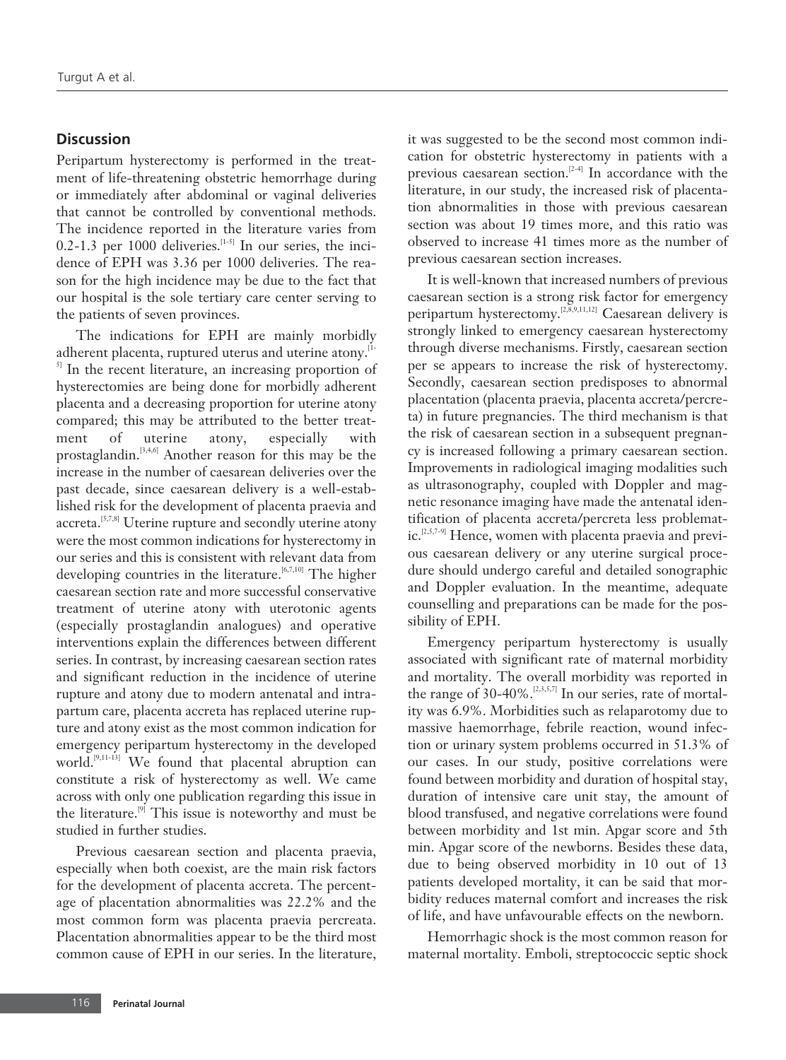## **Discussion**

Peripartum hysterectomy is performed in the treatment of life-threatening obstetric hemorrhage during or immediately after abdominal or vaginal deliveries that cannot be controlled by conventional methods. The incidence reported in the literature varies from 0.2-1.3 per 1000 deliveries.<sup>[1-5]</sup> In our series, the incidence of EPH was 3.36 per 1000 deliveries. The reason for the high incidence may be due to the fact that our hospital is the sole tertiary care center serving to the patients of seven provinces.

The indications for EPH are mainly morbidly adherent placenta, ruptured uterus and uterine atony.<sup>[1-1</sup>] <sup>5]</sup> In the recent literature, an increasing proportion of hysterectomies are being done for morbidly adherent placenta and a decreasing proportion for uterine atony compared; this may be attributed to the better treatment of uterine atony, especially with prostaglandin.[3,4,6] Another reason for this may be the increase in the number of caesarean deliveries over the past decade, since caesarean delivery is a well-established risk for the development of placenta praevia and accreta.<sup>[5,7,8]</sup> Uterine rupture and secondly uterine atony were the most common indications for hysterectomy in our series and this is consistent with relevant data from developing countries in the literature.<sup>[6,7,10]</sup> The higher caesarean section rate and more successful conservative treatment of uterine atony with uterotonic agents (especially prostaglandin analogues) and operative interventions explain the differences between different series. In contrast, by increasing caesarean section rates and significant reduction in the incidence of uterine rupture and atony due to modern antenatal and intrapartum care, placenta accreta has replaced uterine rupture and atony exist as the most common indication for emergency peripartum hysterectomy in the developed world.<sup>[9,11-13]</sup> We found that placental abruption can constitute a risk of hysterectomy as well. We came across with only one publication regarding this issue in the literature.<sup>[9]</sup> This issue is noteworthy and must be studied in further studies.

Previous caesarean section and placenta praevia, especially when both coexist, are the main risk factors for the development of placenta accreta. The percentage of placentation abnormalities was 22.2% and the most common form was placenta praevia percreata. Placentation abnormalities appear to be the third most common cause of EPH in our series. In the literature,

it was suggested to be the second most common indication for obstetric hysterectomy in patients with a previous caesarean section.[2-4] In accordance with the literature, in our study, the increased risk of placentation abnormalities in those with previous caesarean section was about 19 times more, and this ratio was observed to increase 41 times more as the number of previous caesarean section increases.

It is well-known that increased numbers of previous caesarean section is a strong risk factor for emergency peripartum hysterectomy.<sup>[2,8,9,11,12]</sup> Caesarean delivery is strongly linked to emergency caesarean hysterectomy through diverse mechanisms. Firstly, caesarean section per se appears to increase the risk of hysterectomy. Secondly, caesarean section predisposes to abnormal placentation (placenta praevia, placenta accreta/percreta) in future pregnancies. The third mechanism is that the risk of caesarean section in a subsequent pregnancy is increased following a primary caesarean section. Improvements in radiological imaging modalities such as ultrasonography, coupled with Doppler and magnetic resonance imaging have made the antenatal identification of placenta accreta/percreta less problematic.<sup>[2,5,7-9]</sup> Hence, women with placenta praevia and previous caesarean delivery or any uterine surgical procedure should undergo careful and detailed sonographic and Doppler evaluation. In the meantime, adequate counselling and preparations can be made for the possibility of EPH.

Emergency peripartum hysterectomy is usually associated with significant rate of maternal morbidity and mortality. The overall morbidity was reported in the range of  $30-40\%$ .  $^{[2,3,5,7]}$  In our series, rate of mortality was 6.9%. Morbidities such as relaparotomy due to massive haemorrhage, febrile reaction, wound infection or urinary system problems occurred in 51.3% of our cases. In our study, positive correlations were found between morbidity and duration of hospital stay, duration of intensive care unit stay, the amount of blood transfused, and negative correlations were found between morbidity and 1st min. Apgar score and 5th min. Apgar score of the newborns. Besides these data, due to being observed morbidity in 10 out of 13 patients developed mortality, it can be said that morbidity reduces maternal comfort and increases the risk of life, and have unfavourable effects on the newborn.

Hemorrhagic shock is the most common reason for maternal mortality. Emboli, streptococcic septic shock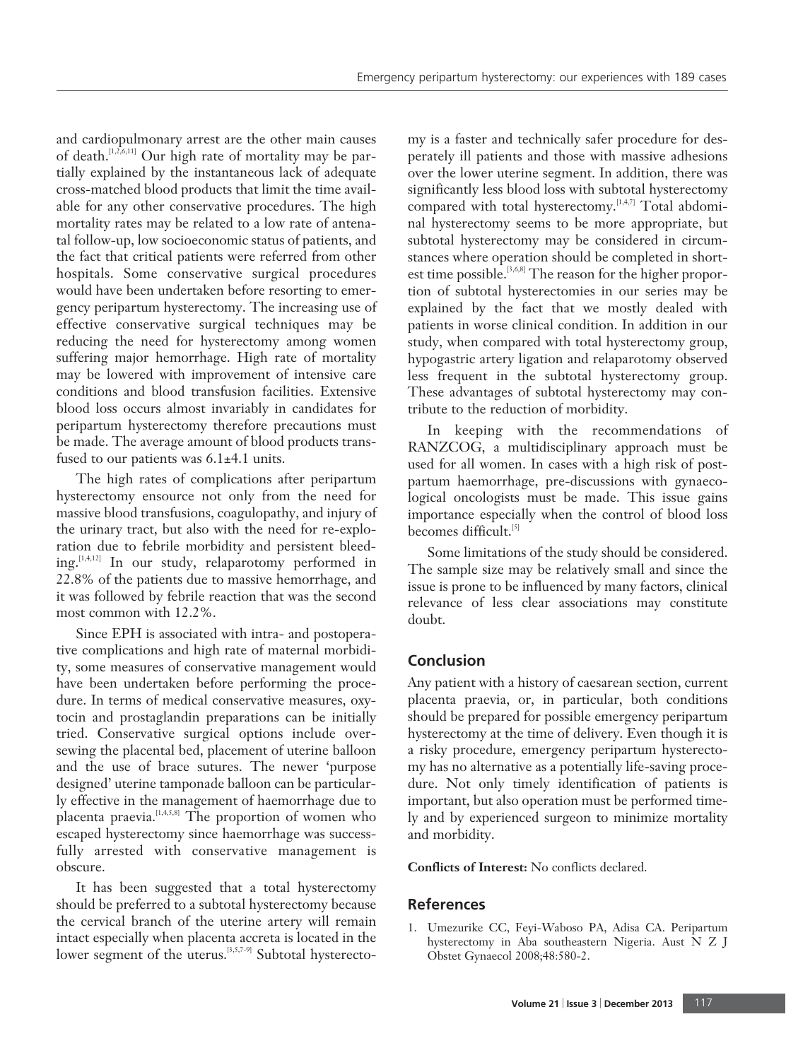and cardiopulmonary arrest are the other main causes of death.<sup>[1,2,6,11]</sup> Our high rate of mortality may be partially explained by the instantaneous lack of adequate cross-matched blood products that limit the time available for any other conservative procedures. The high mortality rates may be related to a low rate of antenatal follow-up, low socioeconomic status of patients, and the fact that critical patients were referred from other hospitals. Some conservative surgical procedures would have been undertaken before resorting to emergency peripartum hysterectomy. The increasing use of effective conservative surgical techniques may be reducing the need for hysterectomy among women suffering major hemorrhage. High rate of mortality may be lowered with improvement of intensive care conditions and blood transfusion facilities. Extensive blood loss occurs almost invariably in candidates for peripartum hysterectomy therefore precautions must be made. The average amount of blood products transfused to our patients was 6.1±4.1 units.

The high rates of complications after peripartum hysterectomy ensource not only from the need for massive blood transfusions, coagulopathy, and injury of the urinary tract, but also with the need for re-exploration due to febrile morbidity and persistent bleeding.<sup>[1,4,12]</sup> In our study, relaparotomy performed in 22.8% of the patients due to massive hemorrhage, and it was followed by febrile reaction that was the second most common with 12.2%.

Since EPH is associated with intra- and postoperative complications and high rate of maternal morbidity, some measures of conservative management would have been undertaken before performing the procedure. In terms of medical conservative measures, oxytocin and prostaglandin preparations can be initially tried. Conservative surgical options include oversewing the placental bed, placement of uterine balloon and the use of brace sutures. The newer 'purpose designed' uterine tamponade balloon can be particularly effective in the management of haemorrhage due to placenta praevia.[1,4,5,8] The proportion of women who escaped hysterectomy since haemorrhage was successfully arrested with conservative management is obscure.

It has been suggested that a total hysterectomy should be preferred to a subtotal hysterectomy because the cervical branch of the uterine artery will remain intact especially when placenta accreta is located in the lower segment of the uterus.<sup>[3,5,7-9]</sup> Subtotal hysterectomy is a faster and technically safer procedure for desperately ill patients and those with massive adhesions over the lower uterine segment. In addition, there was significantly less blood loss with subtotal hysterectomy compared with total hysterectomy.<sup>[1,4,7]</sup> Total abdominal hysterectomy seems to be more appropriate, but subtotal hysterectomy may be considered in circumstances where operation should be completed in shortest time possible.<sup>[3,6,8]</sup> The reason for the higher proportion of subtotal hysterectomies in our series may be explained by the fact that we mostly dealed with patients in worse clinical condition. In addition in our study, when compared with total hysterectomy group, hypogastric artery ligation and relaparotomy observed less frequent in the subtotal hysterectomy group. These advantages of subtotal hysterectomy may contribute to the reduction of morbidity.

In keeping with the recommendations of RANZCOG, a multidisciplinary approach must be used for all women. In cases with a high risk of postpartum haemorrhage, pre-discussions with gynaecological oncologists must be made. This issue gains importance especially when the control of blood loss becomes difficult.<sup>[5]</sup>

Some limitations of the study should be considered. The sample size may be relatively small and since the issue is prone to be influenced by many factors, clinical relevance of less clear associations may constitute doubt.

# **Conclusion**

Any patient with a history of caesarean section, current placenta praevia, or, in particular, both conditions should be prepared for possible emergency peripartum hysterectomy at the time of delivery. Even though it is a risky procedure, emergency peripartum hysterectomy has no alternative as a potentially life-saving procedure. Not only timely identification of patients is important, but also operation must be performed timely and by experienced surgeon to minimize mortality and morbidity.

**Conflicts of Interest:** No conflicts declared.

## **References**

1. Umezurike CC, Feyi-Waboso PA, Adisa CA. Peripartum hysterectomy in Aba southeastern Nigeria. Aust N Z J Obstet Gynaecol 2008;48:580-2.